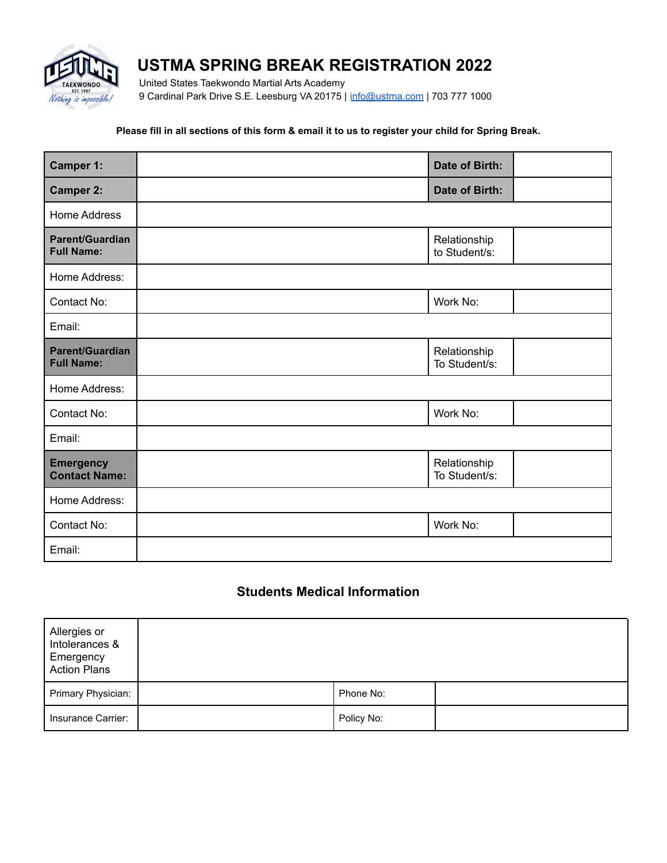

# **USTMA SPRING BREAK REGISTRATION 2022**

United States Taekwondo Martial Arts Academy 9 Cardinal Park Drive S.E. Leesburg VA 20175 | [info@ustma.com](mailto:info@ustma.com) | 703 777 1000

#### **Please fill in all sections of this form & email it to us to register your child for Spring Break.**

| <b>Camper 1:</b>                            | Date of Birth:                |  |
|---------------------------------------------|-------------------------------|--|
| <b>Camper 2:</b>                            | Date of Birth:                |  |
| Home Address                                |                               |  |
| <b>Parent/Guardian</b><br><b>Full Name:</b> | Relationship<br>to Student/s: |  |
| Home Address:                               |                               |  |
| Contact No:                                 | Work No:                      |  |
| Email:                                      |                               |  |
| <b>Parent/Guardian</b><br><b>Full Name:</b> | Relationship<br>To Student/s: |  |
| Home Address:                               |                               |  |
| Contact No:                                 | Work No:                      |  |
| Email:                                      |                               |  |
| <b>Emergency</b><br><b>Contact Name:</b>    | Relationship<br>To Student/s: |  |
| Home Address:                               |                               |  |
| Contact No:                                 | Work No:                      |  |
| Email:                                      |                               |  |

## **Students Medical Information**

| Allergies or<br>Intolerances &<br>Emergency<br><b>Action Plans</b> |            |  |
|--------------------------------------------------------------------|------------|--|
| Primary Physician:                                                 | Phone No:  |  |
| Insurance Carrier:                                                 | Policy No: |  |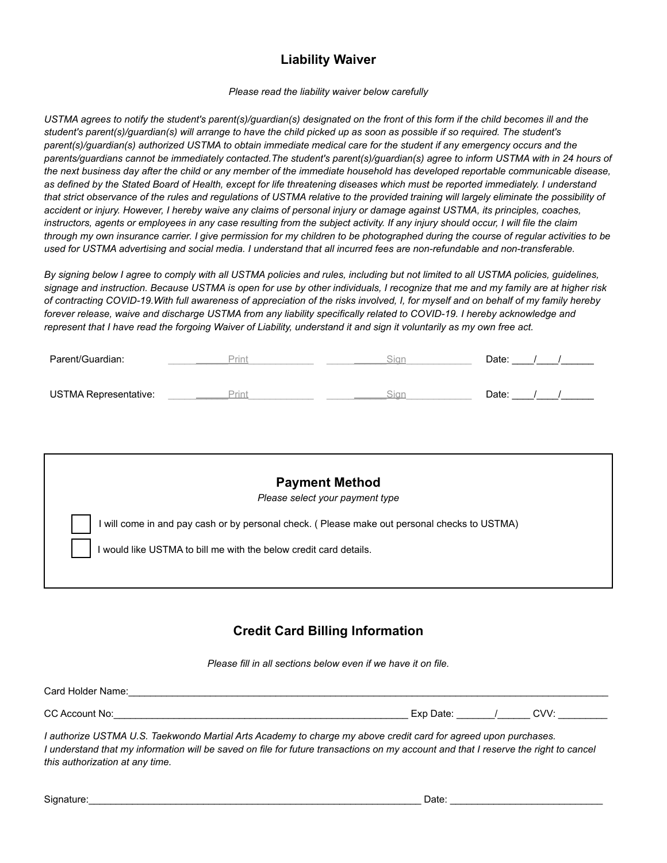# **Liability Waiver**

*Please read the liability waiver below carefully*

*USTMA agrees to notify the student's parent(s)/guardian(s) designated on the front of this form if the child becomes ill and the student's parent(s)/guardian(s) will arrange to have the child picked up as soon as possible if so required. The student's parent(s)/guardian(s) authorized USTMA to obtain immediate medical care for the student if any emergency occurs and the parents/guardians cannot be immediately contacted.The student's parent(s)/guardian(s) agree to inform USTMA with in 24 hours of the next business day after the child or any member of the immediate household has developed reportable communicable disease, as defined by the Stated Board of Health, except for life threatening diseases which must be reported immediately. I understand that strict observance of the rules and regulations of USTMA relative to the provided training will largely eliminate the possibility of accident or injury. However, I hereby waive any claims of personal injury or damage against USTMA, its principles, coaches, instructors, agents or employees in any case resulting from the subject activity. If any injury should occur, I will file the claim through my own insurance carrier. I give permission for my children to be photographed during the course of regular activities to be used for USTMA advertising and social media. I understand that all incurred fees are non-refundable and non-transferable.*

*By signing below I agree to comply with all USTMA policies and rules, including but not limited to all USTMA policies, guidelines, signage and instruction. Because USTMA is open for use by other individuals, I recognize that me and my family are at higher risk of contracting COVID-19.With full awareness of appreciation of the risks involved, I, for myself and on behalf of my family hereby forever release, waive and discharge USTMA from any liability specifically related to COVID-19. I hereby acknowledge and represent that I have read the forgoing Waiver of Liability, understand it and sign it voluntarily as my own free act.*

| Parent/Guardian:             |      |      | Date: |  |
|------------------------------|------|------|-------|--|
| <b>USTMA Representative:</b> | Drin | 31ar | Date: |  |

| <b>Payment Method</b><br>Please select your payment type                                      |
|-----------------------------------------------------------------------------------------------|
| I will come in and pay cash or by personal check. ( Please make out personal checks to USTMA) |
| I would like USTMA to bill me with the below credit card details.                             |
|                                                                                               |

## **Credit Card Billing Information**

*Please fill in all sections below even if we have it on file.*

| $\sim$<br>ιw | $\overline{\mathbf{v}}$<br>-- | ົ້ |  |
|--------------|-------------------------------|----|--|

*I authorize USTMA U.S. Taekwondo Martial Arts Academy to charge my above credit card for agreed upon purchases. I understand that my information will be saved on file for future transactions on my account and that I reserve the right to cancel this authorization at any time.*

| Signature: | Date |  |
|------------|------|--|
|            |      |  |

Card Holder Name: